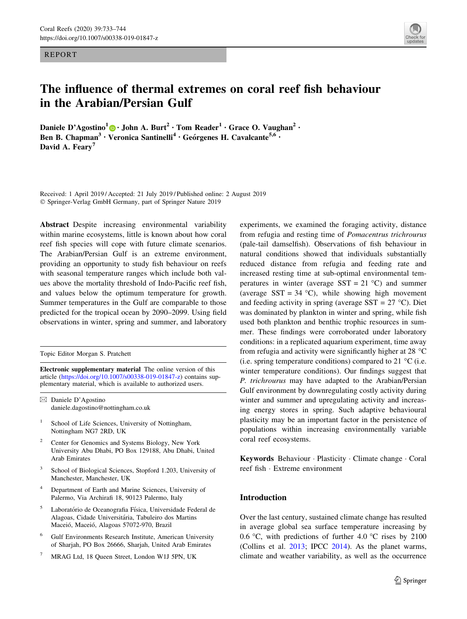REPORT



# The influence of thermal extremes on coral reef fish behaviour in the Arabian/Persian Gulf

Daniele D'Agostino<sup>1</sup> [•](http://orcid.org/0000-0003-2291-5749) John A. Burt<sup>2</sup> • Tom Reader<sup>1</sup> • Grace O. Vaughan<sup>2</sup> • Ben B. Chapman<sup>3</sup> • Veronica Santinelli<sup>4</sup> • Geórgenes H. Cavalcante<sup>5,6</sup> • David A. Feary<sup>7</sup>

Received: 1 April 2019 / Accepted: 21 July 2019 / Published online: 2 August 2019 - Springer-Verlag GmbH Germany, part of Springer Nature 2019

Abstract Despite increasing environmental variability within marine ecosystems, little is known about how coral reef fish species will cope with future climate scenarios. The Arabian/Persian Gulf is an extreme environment, providing an opportunity to study fish behaviour on reefs with seasonal temperature ranges which include both values above the mortality threshold of Indo-Pacific reef fish, and values below the optimum temperature for growth. Summer temperatures in the Gulf are comparable to those predicted for the tropical ocean by 2090–2099. Using field observations in winter, spring and summer, and laboratory

Topic Editor Morgan S. Pratchett

Electronic supplementary material The online version of this article [\(https://doi.org/10.1007/s00338-019-01847-z\)](https://doi.org/10.1007/s00338-019-01847-z) contains supplementary material, which is available to authorized users.

 $\boxtimes$  Daniele D'Agostino daniele.dagostino@nottingham.co.uk

- <sup>1</sup> School of Life Sciences, University of Nottingham, Nottingham NG7 2RD, UK
- Center for Genomics and Systems Biology, New York University Abu Dhabi, PO Box 129188, Abu Dhabi, United Arab Emirates
- School of Biological Sciences, Stopford 1.203, University of Manchester, Manchester, UK
- <sup>4</sup> Department of Earth and Marine Sciences, University of Palermo, Via Archirafi 18, 90123 Palermo, Italy
- Laboratório de Oceanografia Física, Universidade Federal de Alagoas, Cidade Universitária, Tabuleiro dos Martins Maceió, Maceió, Alagoas 57072-970, Brazil
- <sup>6</sup> Gulf Environments Research Institute, American University of Sharjah, PO Box 26666, Sharjah, United Arab Emirates
- <sup>7</sup> MRAG Ltd, 18 Queen Street, London W1J 5PN, UK

experiments, we examined the foraging activity, distance from refugia and resting time of Pomacentrus trichrourus (pale-tail damselfish). Observations of fish behaviour in natural conditions showed that individuals substantially reduced distance from refugia and feeding rate and increased resting time at sub-optimal environmental temperatures in winter (average  $SST = 21 \degree C$ ) and summer (average SST = 34 °C), while showing high movement and feeding activity in spring (average  $SST = 27$  °C). Diet was dominated by plankton in winter and spring, while fish used both plankton and benthic trophic resources in summer. These findings were corroborated under laboratory conditions: in a replicated aquarium experiment, time away from refugia and activity were significantly higher at 28  $^{\circ}$ C (i.e. spring temperature conditions) compared to 21  $^{\circ}$ C (i.e. winter temperature conditions). Our findings suggest that P. trichrourus may have adapted to the Arabian/Persian Gulf environment by downregulating costly activity during winter and summer and upregulating activity and increasing energy stores in spring. Such adaptive behavioural plasticity may be an important factor in the persistence of populations within increasing environmentally variable coral reef ecosystems.

Keywords Behaviour · Plasticity · Climate change · Coral reef fish - Extreme environment

# Introduction

Over the last century, sustained climate change has resulted in average global sea surface temperature increasing by 0.6 °C, with predictions of further 4.0 °C rises by 2100 (Collins et al. [2013](#page-10-0); IPCC [2014](#page-10-0)). As the planet warms, climate and weather variability, as well as the occurrence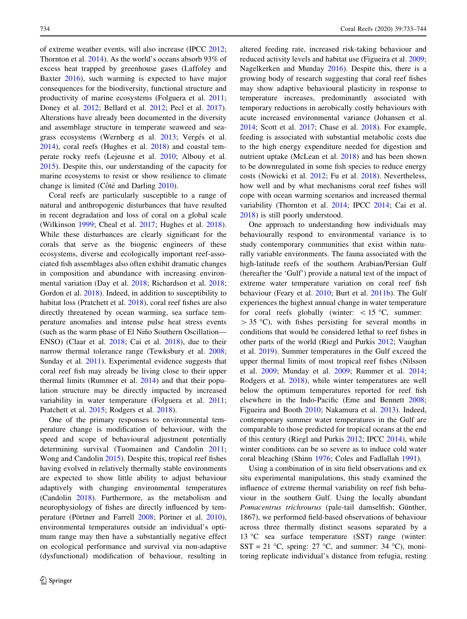of extreme weather events, will also increase (IPCC [2012](#page-10-0); Thornton et al. [2014](#page-11-0)). As the world's oceans absorb 93% of excess heat trapped by greenhouse gases (Laffoley and Baxter [2016\)](#page-10-0), such warming is expected to have major consequences for the biodiversity, functional structure and productivity of marine ecosystems (Folguera et al. [2011](#page-10-0); Doney et al. [2012](#page-10-0); Bellard et al. [2012;](#page-9-0) Pecl et al. [2017](#page-11-0)). Alterations have already been documented in the diversity and assemblage structure in temperate seaweed and sea-grass ecosystems (Wernberg et al. [2013;](#page-11-0) Vergés et al. [2014\)](#page-11-0), coral reefs (Hughes et al. [2018](#page-10-0)) and coastal temperate rocky reefs (Lejeusne et al. [2010](#page-10-0); Albouy et al. [2015\)](#page-9-0). Despite this, our understanding of the capacity for marine ecosystems to resist or show resilience to climate change is limited (Côté and Darling  $2010$ ).

Coral reefs are particularly susceptible to a range of natural and anthropogenic disturbances that have resulted in recent degradation and loss of coral on a global scale (Wilkinson [1999;](#page-11-0) Cheal et al. [2017](#page-9-0); Hughes et al. [2018](#page-10-0)). While these disturbances are clearly significant for the corals that serve as the biogenic engineers of these ecosystems, diverse and ecologically important reef-associated fish assemblages also often exhibit dramatic changes in composition and abundance with increasing environmental variation (Day et al. [2018;](#page-10-0) Richardson et al. [2018](#page-11-0); Gordon et al. [2018\)](#page-10-0). Indeed, in addition to susceptibility to habitat loss (Pratchett et al. [2018](#page-11-0)), coral reef fishes are also directly threatened by ocean warming, sea surface temperature anomalies and intense pulse heat stress events (such as the warm phase of El Niño Southern Oscillation— ENSO) (Claar et al. [2018](#page-9-0); Cai et al. [2018](#page-9-0)), due to their narrow thermal tolerance range (Tewksbury et al. [2008](#page-11-0); Sunday et al. [2011](#page-11-0)). Experimental evidence suggests that coral reef fish may already be living close to their upper thermal limits (Rummer et al. [2014](#page-11-0)) and that their population structure may be directly impacted by increased variability in water temperature (Folguera et al. [2011](#page-10-0); Pratchett et al. [2015;](#page-11-0) Rodgers et al. [2018](#page-11-0)).

One of the primary responses to environmental temperature change is modification of behaviour, with the speed and scope of behavioural adjustment potentially determining survival (Tuomainen and Candolin [2011](#page-11-0); Wong and Candolin [2015](#page-11-0)). Despite this, tropical reef fishes having evolved in relatively thermally stable environments are expected to show little ability to adjust behaviour adaptively with changing environmental temperatures (Candolin [2018](#page-9-0)). Furthermore, as the metabolism and neurophysiology of fishes are directly influenced by tem-perature (Pörtner and Farrell [2008;](#page-11-0) Pörtner et al. [2010](#page-11-0)), environmental temperatures outside an individual's optimum range may then have a substantially negative effect on ecological performance and survival via non-adaptive (dysfunctional) modification of behaviour, resulting in altered feeding rate, increased risk-taking behaviour and reduced activity levels and habitat use (Figueira et al. [2009](#page-10-0); Nagelkerken and Munday [2016](#page-10-0)). Despite this, there is a growing body of research suggesting that coral reef fishes may show adaptive behavioural plasticity in response to temperature increases, predominantly associated with temporary reductions in aerobically costly behaviours with acute increased environmental variance (Johansen et al. [2014](#page-10-0); Scott et al. [2017](#page-11-0); Chase et al. [2018\)](#page-9-0). For example, feeding is associated with substantial metabolic costs due to the high energy expenditure needed for digestion and nutrient uptake (McLean et al. [2018\)](#page-10-0) and has been shown to be downregulated in some fish species to reduce energy costs (Nowicki et al. [2012;](#page-11-0) Fu et al. [2018\)](#page-10-0). Nevertheless, how well and by what mechanisms coral reef fishes will cope with ocean warming scenarios and increased thermal variability (Thornton et al. [2014](#page-11-0); IPCC [2014;](#page-10-0) Cai et al. [2018](#page-9-0)) is still poorly understood.

One approach to understanding how individuals may behaviourally respond to environmental variance is to study contemporary communities that exist within naturally variable environments. The fauna associated with the high-latitude reefs of the southern Arabian/Persian Gulf (hereafter the 'Gulf') provide a natural test of the impact of extreme water temperature variation on coral reef fish behaviour (Feary et al. [2010](#page-10-0); Burt et al. [2011b\)](#page-9-0). The Gulf experiences the highest annual change in water temperature for coral reefs globally (winter:  $\lt 15$  °C, summer:  $> 35$  °C), with fishes persisting for several months in conditions that would be considered lethal to reef fishes in other parts of the world (Riegl and Purkis [2012](#page-11-0); Vaughan et al. [2019](#page-11-0)). Summer temperatures in the Gulf exceed the upper thermal limits of most tropical reef fishes (Nilsson et al. [2009](#page-11-0); Munday et al. [2009](#page-10-0); Rummer et al. [2014](#page-11-0); Rodgers et al. [2018\)](#page-11-0), while winter temperatures are well below the optimum temperatures reported for reef fish elsewhere in the Indo-Pacific (Eme and Bennett [2008](#page-10-0); Figueira and Booth [2010](#page-10-0); Nakamura et al. [2013](#page-10-0)). Indeed, contemporary summer water temperatures in the Gulf are comparable to those predicted for tropical oceans at the end of this century (Riegl and Purkis [2012](#page-11-0); IPCC [2014](#page-10-0)), while winter conditions can be so severe as to induce cold water coral bleaching (Shinn [1976;](#page-11-0) Coles and Fadlallah [1991](#page-9-0)).

Using a combination of in situ field observations and ex situ experimental manipulations, this study examined the influence of extreme thermal variability on reef fish behaviour in the southern Gulf. Using the locally abundant Pomacentrus trichrourus (pale-tail damselfish; Günther, 1867), we performed field-based observations of behaviour across three thermally distinct seasons separated by a 13 °C sea surface temperature (SST) range (winter: SST = 21 °C, spring: 27 °C, and summer: 34 °C), monitoring replicate individual's distance from refugia, resting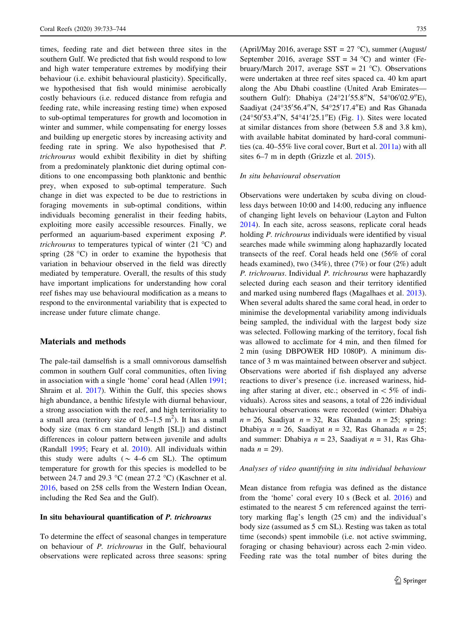times, feeding rate and diet between three sites in the southern Gulf. We predicted that fish would respond to low and high water temperature extremes by modifying their behaviour (i.e. exhibit behavioural plasticity). Specifically, we hypothesised that fish would minimise aerobically costly behaviours (i.e. reduced distance from refugia and feeding rate, while increasing resting time) when exposed to sub-optimal temperatures for growth and locomotion in winter and summer, while compensating for energy losses and building up energetic stores by increasing activity and feeding rate in spring. We also hypothesised that P. trichrourus would exhibit flexibility in diet by shifting from a predominately planktonic diet during optimal conditions to one encompassing both planktonic and benthic prey, when exposed to sub-optimal temperature. Such change in diet was expected to be due to restrictions in foraging movements in sub-optimal conditions, within individuals becoming generalist in their feeding habits, exploiting more easily accessible resources. Finally, we performed an aquarium-based experiment exposing P. *trichrourus* to temperatures typical of winter  $(21 \degree C)$  and spring  $(28 \text{ °C})$  in order to examine the hypothesis that variation in behaviour observed in the field was directly mediated by temperature. Overall, the results of this study have important implications for understanding how coral reef fishes may use behavioural modification as a means to respond to the environmental variability that is expected to increase under future climate change.

# Materials and methods

The pale-tail damselfish is a small omnivorous damselfish common in southern Gulf coral communities, often living in association with a single 'home' coral head (Allen [1991](#page-9-0); Shraim et al. [2017](#page-11-0)). Within the Gulf, this species shows high abundance, a benthic lifestyle with diurnal behaviour, a strong association with the reef, and high territoriality to a small area (territory size of  $0.5-1.5$  m<sup>2</sup>). It has a small body size (max 6 cm standard length [SL]) and distinct differences in colour pattern between juvenile and adults (Randall [1995;](#page-11-0) Feary et al. [2010](#page-10-0)). All individuals within this study were adults ( $\sim$  4–6 cm SL). The optimum temperature for growth for this species is modelled to be between 24.7 and 29.3 °C (mean 27.2 °C) (Kaschner et al. [2016,](#page-10-0) based on 258 cells from the Western Indian Ocean, including the Red Sea and the Gulf).

#### In situ behavioural quantification of P. trichrourus

To determine the effect of seasonal changes in temperature on behaviour of P. trichrourus in the Gulf, behavioural observations were replicated across three seasons: spring (April/May 2016, average SST =  $27^{\circ}$ C), summer (August/ September 2016, average SST =  $34^{\circ}$ C) and winter (February/March 2017, average SST =  $21^{\circ}$ C). Observations were undertaken at three reef sites spaced ca. 40 km apart along the Abu Dhabi coastline (United Arab Emirates southern Gulf): Dhabiya (24°21'55.8"N, 54°06'02.9"E), Saadiyat (24°35'56.4"N, 54°25'17.4"E) and Ras Ghanada (24°50'53.4"N, 54°4[1](#page-3-0)'25.1"E) (Fig. 1). Sites were located at similar distances from shore (between 5.8 and 3.8 km), with available habitat dominated by hard-coral communities (ca. 40–55% live coral cover, Burt et al. [2011a](#page-9-0)) with all sites 6–7 m in depth (Grizzle et al. [2015](#page-10-0)).

#### In situ behavioural observation

Observations were undertaken by scuba diving on cloudless days between 10:00 and 14:00, reducing any influence of changing light levels on behaviour (Layton and Fulton [2014](#page-10-0)). In each site, across seasons, replicate coral heads holding *P. trichrourus* individuals were identified by visual searches made while swimming along haphazardly located transects of the reef. Coral heads held one (56% of coral heads examined), two (34%), three (7%) or four (2%) adult P. trichrourus. Individual P. trichrourus were haphazardly selected during each season and their territory identified and marked using numbered flags (Magalhaes et al. [2013](#page-10-0)). When several adults shared the same coral head, in order to minimise the developmental variability among individuals being sampled, the individual with the largest body size was selected. Following marking of the territory, focal fish was allowed to acclimate for 4 min, and then filmed for 2 min (using DBPOWER HD 1080P). A minimum distance of 3 m was maintained between observer and subject. Observations were aborted if fish displayed any adverse reactions to diver's presence (i.e. increased wariness, hiding after staring at diver, etc.; observed in  $\lt 5\%$  of individuals). Across sites and seasons, a total of 226 individual behavioural observations were recorded (winter: Dhabiya  $n = 26$ , Saadiyat  $n = 32$ , Ras Ghanada  $n = 25$ ; spring: Dhabiya  $n = 26$ , Saadiyat  $n = 32$ , Ras Ghanada  $n = 25$ ; and summer: Dhabiya  $n = 23$ , Saadiyat  $n = 31$ , Ras Ghanada  $n = 29$ ).

# Analyses of video quantifying in situ individual behaviour

Mean distance from refugia was defined as the distance from the 'home' coral every 10 s (Beck et al. [2016\)](#page-9-0) and estimated to the nearest 5 cm referenced against the territory marking flag's length (25 cm) and the individual's body size (assumed as 5 cm SL). Resting was taken as total time (seconds) spent immobile (i.e. not active swimming, foraging or chasing behaviour) across each 2-min video. Feeding rate was the total number of bites during the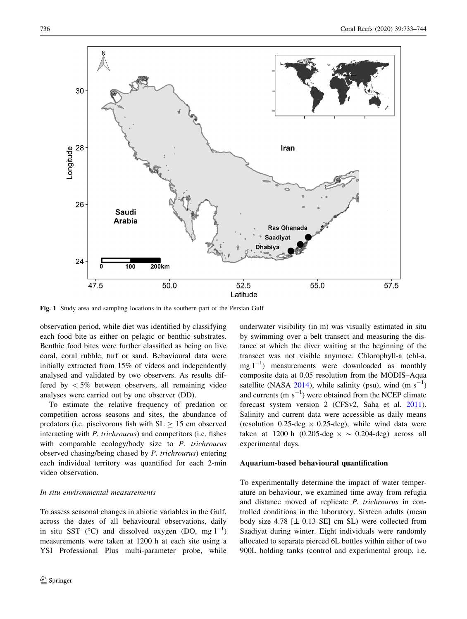<span id="page-3-0"></span>

Fig. 1 Study area and sampling locations in the southern part of the Persian Gulf

observation period, while diet was identified by classifying each food bite as either on pelagic or benthic substrates. Benthic food bites were further classified as being on live coral, coral rubble, turf or sand. Behavioural data were initially extracted from 15% of videos and independently analysed and validated by two observers. As results differed by  $\lt 5\%$  between observers, all remaining video analyses were carried out by one observer (DD).

To estimate the relative frequency of predation or competition across seasons and sites, the abundance of predators (i.e. piscivorous fish with  $SL \ge 15$  cm observed interacting with P. trichrourus) and competitors (i.e. fishes with comparable ecology/body size to P. trichrourus observed chasing/being chased by P. trichrourus) entering each individual territory was quantified for each 2-min video observation.

#### In situ environmental measurements

To assess seasonal changes in abiotic variables in the Gulf, across the dates of all behavioural observations, daily in situ SST ( $^{\circ}$ C) and dissolved oxygen (DO, mg  $1^{-1}$ ) measurements were taken at 1200 h at each site using a YSI Professional Plus multi-parameter probe, while

underwater visibility (in m) was visually estimated in situ by swimming over a belt transect and measuring the distance at which the diver waiting at the beginning of the transect was not visible anymore. Chlorophyll-a (chl-a, mg  $1^{-1}$ ) measurements were downloaded as monthly composite data at 0.05 resolution from the MODIS–Aqua satellite (NASA [2014\)](#page-10-0), while salinity (psu), wind  $(m s^{-1})$ and currents  $(m s<sup>-1</sup>)$  were obtained from the NCEP climate forecast system version 2 (CFSv2, Saha et al. [2011](#page-11-0)). Salinity and current data were accessible as daily means (resolution  $0.25$ -deg  $\times$  0.25-deg), while wind data were taken at 1200 h (0.205-deg  $\times \sim 0.204$ -deg) across all experimental days.

#### Aquarium-based behavioural quantification

To experimentally determine the impact of water temperature on behaviour, we examined time away from refugia and distance moved of replicate P. trichrourus in controlled conditions in the laboratory. Sixteen adults (mean body size 4.78  $[\pm 0.13$  SE] cm SL) were collected from Saadiyat during winter. Eight individuals were randomly allocated to separate pierced 6L bottles within either of two 900L holding tanks (control and experimental group, i.e.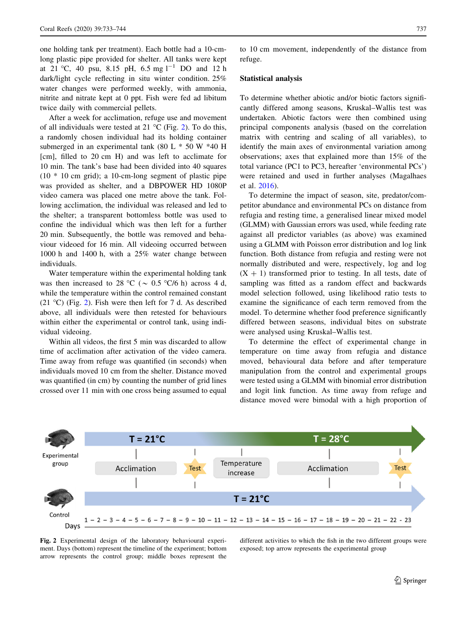one holding tank per treatment). Each bottle had a 10-cmlong plastic pipe provided for shelter. All tanks were kept at 21 °C, 40 psu, 8.15 pH, 6.5 mg  $1^{-1}$  DO and 12 h dark/light cycle reflecting in situ winter condition. 25% water changes were performed weekly, with ammonia, nitrite and nitrate kept at 0 ppt. Fish were fed ad libitum twice daily with commercial pellets.

After a week for acclimation, refuge use and movement of all individuals were tested at 21  $\rm{^{\circ}C}$  (Fig. 2). To do this, a randomly chosen individual had its holding container submerged in an experimental tank (80 L  $*$  50 W  $*40$  H [cm], filled to 20 cm H) and was left to acclimate for 10 min. The tank's base had been divided into 40 squares  $(10 * 10$  cm grid); a 10-cm-long segment of plastic pipe was provided as shelter, and a DBPOWER HD 1080P video camera was placed one metre above the tank. Following acclimation, the individual was released and led to the shelter; a transparent bottomless bottle was used to confine the individual which was then left for a further 20 min. Subsequently, the bottle was removed and behaviour videoed for 16 min. All videoing occurred between 1000 h and 1400 h, with a 25% water change between individuals.

Water temperature within the experimental holding tank was then increased to 28 °C ( $\sim$  0.5 °C/6 h) across 4 d, while the temperature within the control remained constant (21 °C) (Fig. 2). Fish were then left for 7 d. As described above, all individuals were then retested for behaviours within either the experimental or control tank, using individual videoing.

Within all videos, the first 5 min was discarded to allow time of acclimation after activation of the video camera. Time away from refuge was quantified (in seconds) when individuals moved 10 cm from the shelter. Distance moved was quantified (in cm) by counting the number of grid lines crossed over 11 min with one cross being assumed to equal to 10 cm movement, independently of the distance from refuge.

### Statistical analysis

To determine whether abiotic and/or biotic factors significantly differed among seasons, Kruskal–Wallis test was undertaken. Abiotic factors were then combined using principal components analysis (based on the correlation matrix with centring and scaling of all variables), to identify the main axes of environmental variation among observations; axes that explained more than 15% of the total variance (PC1 to PC3, hereafter 'environmental PCs') were retained and used in further analyses (Magalhaes et al. [2016\)](#page-10-0).

To determine the impact of season, site, predator/competitor abundance and environmental PCs on distance from refugia and resting time, a generalised linear mixed model (GLMM) with Gaussian errors was used, while feeding rate against all predictor variables (as above) was examined using a GLMM with Poisson error distribution and log link function. Both distance from refugia and resting were not normally distributed and were, respectively, log and log  $(X + 1)$  transformed prior to testing. In all tests, date of sampling was fitted as a random effect and backwards model selection followed, using likelihood ratio tests to examine the significance of each term removed from the model. To determine whether food preference significantly differed between seasons, individual bites on substrate were analysed using Kruskal–Wallis test.

To determine the effect of experimental change in temperature on time away from refugia and distance moved, behavioural data before and after temperature manipulation from the control and experimental groups were tested using a GLMM with binomial error distribution and logit link function. As time away from refuge and distance moved were bimodal with a high proportion of



Fig. 2 Experimental design of the laboratory behavioural experiment. Days (bottom) represent the timeline of the experiment; bottom arrow represents the control group; middle boxes represent the

different activities to which the fish in the two different groups were exposed; top arrow represents the experimental group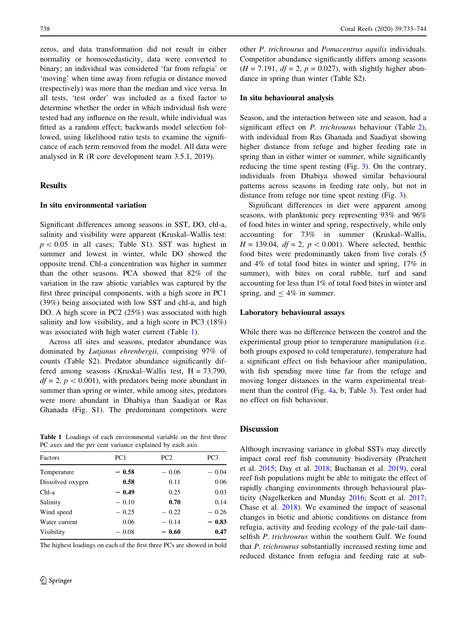zeros, and data transformation did not result in either normality or homoscedasticity, data were converted to binary; an individual was considered 'far from refugia' or 'moving' when time away from refugia or distance moved (respectively) was more than the median and vice versa. In all tests, 'test order' was included as a fixed factor to determine whether the order in which individual fish were tested had any influence on the result, while individual was fitted as a random effect; backwards model selection followed, using likelihood ratio tests to examine the significance of each term removed from the model. All data were analysed in R (R core development team 3.5.1, 2019).

#### **Results**

### In situ environmental variation

Significant differences among seasons in SST, DO, chl-a, salinity and visibility were apparent (Kruskal–Wallis test:  $p < 0.05$  in all cases; Table S1). SST was highest in summer and lowest in winter, while DO showed the opposite trend. Chl-a concentration was higher in summer than the other seasons. PCA showed that 82% of the variation in the raw abiotic variables was captured by the first three principal components, with a high score in PC1 (39%) being associated with low SST and chl-a, and high DO. A high score in PC2 (25%) was associated with high salinity and low visibility, and a high score in PC3 (18%) was associated with high water current (Table 1).

Across all sites and seasons, predator abundance was dominated by Lutjanus ehrenbergii, comprising 97% of counts (Table S2). Predator abundance significantly differed among seasons (Kruskal–Wallis test,  $H = 73.790$ ,  $df = 2$ ,  $p < 0.001$ , with predators being more abundant in summer than spring or winter, while among sites, predators were more abundant in Dhabiya than Saadiyat or Ras Ghanada (Fig. S1). The predominant competitors were

Table 1 Loadings of each environmental variable on the first three PC axes and the per cent variance explained by each axis

| Factors          | PC <sub>1</sub> | PC <sub>2</sub> | PC3     |
|------------------|-----------------|-----------------|---------|
| Temperature      | $-0.58$         | $-0.06$         | $-0.04$ |
| Dissolved oxygen | 0.58            | 0.11            | 0.06    |
| Chl-a            | $-0.49$         | 0.25            | 0.03    |
| Salinity         | $-0.10$         | 0.70            | 0.14    |
| Wind speed       | $-0.25$         | $-0.22$         | $-0.26$ |
| Water current    | 0.06            | $-0.14$         | $-0.83$ |
| Visibility       | $-0.08$         | $-0.60$         | 0.47    |
|                  |                 |                 |         |

The highest loadings on each of the first three PCs are showed in bold

other P. trichrourus and Pomacentrus aquilis individuals. Competitor abundance significantly differs among seasons  $(H = 7.191, df = 2, p = 0.027)$ , with slightly higher abundance in spring than winter (Table S2).

#### In situ behavioural analysis

Season, and the interaction between site and season, had a significant effect on *P. trichrourus* behaviour (Table [2](#page-6-0)), with individual from Ras Ghanada and Saadiyat showing higher distance from refuge and higher feeding rate in spring than in either winter or summer, while significantly reducing the time spent resting (Fig. [3](#page-7-0)). On the contrary, individuals from Dhabiya showed similar behavioural patterns across seasons in feeding rate only, but not in distance from refuge nor time spent resting (Fig. [3](#page-7-0)).

Significant differences in diet were apparent among seasons, with planktonic prey representing 93% and 96% of food bites in winter and spring, respectively, while only accounting for 73% in summer (Kruskal–Wallis,  $H = 139.04$ ,  $df = 2$ ,  $p < 0.001$ ). Where selected, benthic food bites were predominantly taken from live corals (5 and 4% of total food bites in winter and spring, 17% in summer), with bites on coral rubble, turf and sand accounting for less than 1% of total food bites in winter and spring, and  $\leq 4\%$  in summer.

#### Laboratory behavioural assays

While there was no difference between the control and the experimental group prior to temperature manipulation (i.e. both groups exposed to cold temperature), temperature had a significant effect on fish behaviour after manipulation, with fish spending more time far from the refuge and moving longer distances in the warm experimental treatment than the control (Fig. [4](#page-8-0)a, b; Table [3](#page-8-0)). Test order had no effect on fish behaviour.

## **Discussion**

Although increasing variance in global SSTs may directly impact coral reef fish community biodiversity (Pratchett et al. [2015](#page-11-0); Day et al. [2018;](#page-10-0) Buchanan et al. [2019\)](#page-9-0), coral reef fish populations might be able to mitigate the effect of rapidly changing environments through behavioural plasticity (Nagelkerken and Munday [2016;](#page-10-0) Scott et al. [2017](#page-11-0); Chase et al. [2018\)](#page-9-0). We examined the impact of seasonal changes in biotic and abiotic conditions on distance from refugia, activity and feeding ecology of the pale-tail damselfish P. trichrourus within the southern Gulf. We found that P. trichrourus substantially increased resting time and reduced distance from refugia and feeding rate at sub-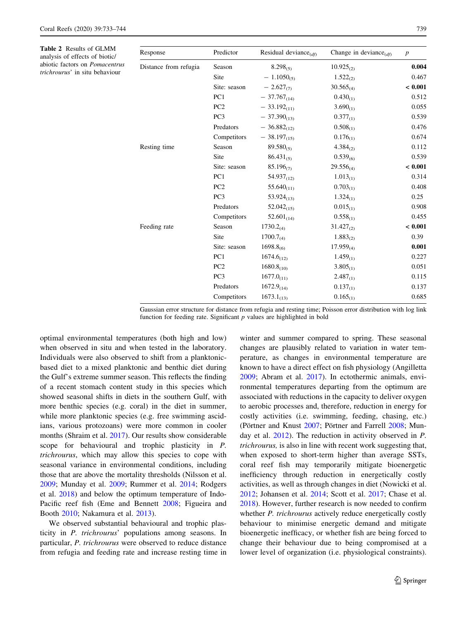<span id="page-6-0"></span>Table 2 Results of GLMM analysis of effects of biotic/ abiotic factors on Pomacentrus trichrourus' in situ behaviour

| Response              | Predictor       | Residual deviance $_{(df)}$ | Change in deviance $_{(df)}$ | $\boldsymbol{p}$ |
|-----------------------|-----------------|-----------------------------|------------------------------|------------------|
| Distance from refugia | Season          | $8.298_{(5)}$               | $10.925_{(2)}$               | 0.004            |
|                       | Site            | $-1.1050_{(5)}$             | $1.522_{(2)}$                | 0.467            |
|                       | Site: season    | $-2.627_{(7)}$              | $30.565_{(4)}$               | < 0.001          |
|                       | PC <sub>1</sub> | $-37.767_{(14)}$            | $0.430_{(1)}$                | 0.512            |
|                       | PC <sub>2</sub> | $-33.192_{(11)}$            | $3.690_{(1)}$                | 0.055            |
|                       | PC <sub>3</sub> | $-37.390_{(13)}$            | $0.377_{(1)}$                | 0.539            |
|                       | Predators       | $-36.882_{(12)}$            | $0.508_{(1)}$                | 0.476            |
|                       | Competitors     | $-38.197_{(15)}$            | $0.176_{(1)}$                | 0.674            |
| Resting time          | Season          | $89.580_{(5)}$              | $4.384_{(2)}$                | 0.112            |
|                       | Site            | $86.431_{(5)}$              | $0.539_{(6)}$                | 0.539            |
|                       | Site: season    | $85.196_{(7)}$              | $29.556_{(4)}$               | < 0.001          |
|                       | PC1             | $54.937_{(12)}$             | $1.013_{(1)}$                | 0.314            |
|                       | PC <sub>2</sub> | $55.640_{(11)}$             | $0.703_{(1)}$                | 0.408            |
|                       | PC <sub>3</sub> | $53.924_{(13)}$             | $1.324_{(1)}$                | 0.25             |
|                       | Predators       | $52.042_{(15)}$             | $0.015_{(1)}$                | 0.908            |
|                       | Competitors     | $52.601_{(14)}$             | $0.558_{(1)}$                | 0.455            |
| Feeding rate          | Season          | $1730.2_{(4)}$              | $31.427_{(2)}$               | < 0.001          |
|                       | Site            | $1700.7_{(4)}$              | $1.883_{(2)}$                | 0.39             |
|                       | Site: season    | $1698.8_{(6)}$              | $17.959_{(4)}$               | 0.001            |
|                       | PC1             | $1674.6_{(12)}$             | $1.459_{(1)}$                | 0.227            |
|                       | PC <sub>2</sub> | $1680.8_{(10)}$             | $3.805_{(1)}$                | 0.051            |
|                       | PC <sub>3</sub> | $1677.0_{(11)}$             | $2.487_{(1)}$                | 0.115            |
|                       | Predators       | $1672.9_{(14)}$             | $0.137_{(1)}$                | 0.137            |
|                       | Competitors     | $1673.1_{(13)}$             | $0.165_{(1)}$                | 0.685            |

Gaussian error structure for distance from refugia and resting time; Poisson error distribution with log link function for feeding rate. Significant  $p$  values are highlighted in bold

optimal environmental temperatures (both high and low) when observed in situ and when tested in the laboratory. Individuals were also observed to shift from a planktonicbased diet to a mixed planktonic and benthic diet during the Gulf's extreme summer season. This reflects the finding of a recent stomach content study in this species which showed seasonal shifts in diets in the southern Gulf, with more benthic species (e.g. coral) in the diet in summer, while more planktonic species (e.g. free swimming ascidians, various protozoans) were more common in cooler months (Shraim et al. [2017\)](#page-11-0). Our results show considerable scope for behavioural and trophic plasticity in P. trichrourus, which may allow this species to cope with seasonal variance in environmental conditions, including those that are above the mortality thresholds (Nilsson et al. [2009;](#page-11-0) Munday et al. [2009](#page-10-0); Rummer et al. [2014](#page-11-0); Rodgers et al. [2018](#page-11-0)) and below the optimum temperature of Indo-Pacific reef fish (Eme and Bennett [2008;](#page-10-0) Figueira and Booth [2010;](#page-10-0) Nakamura et al. [2013\)](#page-10-0).

We observed substantial behavioural and trophic plasticity in P. trichrourus' populations among seasons. In particular, P. trichrourus were observed to reduce distance from refugia and feeding rate and increase resting time in winter and summer compared to spring. These seasonal changes are plausibly related to variation in water temperature, as changes in environmental temperature are known to have a direct effect on fish physiology (Angilletta [2009](#page-9-0); Abram et al. [2017](#page-9-0)). In ectothermic animals, environmental temperatures departing from the optimum are associated with reductions in the capacity to deliver oxygen to aerobic processes and, therefore, reduction in energy for costly activities (i.e. swimming, feeding, chasing, etc.) (Pörtner and Knust [2007;](#page-11-0) Pörtner and Farrell [2008;](#page-11-0) Munday et al. [2012\)](#page-10-0). The reduction in activity observed in P. trichrourus, is also in line with recent work suggesting that, when exposed to short-term higher than average SSTs, coral reef fish may temporarily mitigate bioenergetic inefficiency through reduction in energetically costly activities, as well as through changes in diet (Nowicki et al. [2012](#page-11-0); Johansen et al. [2014](#page-10-0); Scott et al. [2017;](#page-11-0) Chase et al. [2018](#page-9-0)). However, further research is now needed to confirm whether *P. trichrourus* actively reduce energetically costly behaviour to minimise energetic demand and mitigate bioenergetic inefficacy, or whether fish are being forced to change their behaviour due to being compromised at a lower level of organization (i.e. physiological constraints).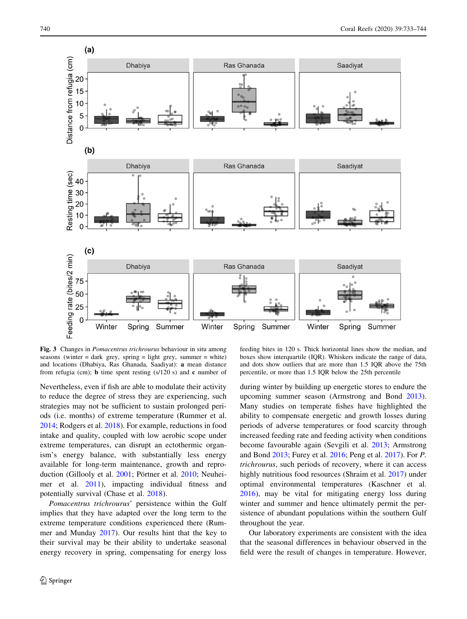<span id="page-7-0"></span>

Fig. 3 Changes in Pomacentrus trichrourus behaviour in situ among seasons (winter  $=$  dark grey, spring  $=$  light grey, summer  $=$  white) and locations (Dhabiya, Ras Ghanada, Saadiyat): a mean distance from refugia (cm); **b** time spent resting  $(s/120 s)$  and **c** number of

Nevertheless, even if fish are able to modulate their activity to reduce the degree of stress they are experiencing, such strategies may not be sufficient to sustain prolonged periods (i.e. months) of extreme temperature (Rummer et al. [2014;](#page-11-0) Rodgers et al. [2018](#page-11-0)). For example, reductions in food intake and quality, coupled with low aerobic scope under extreme temperatures, can disrupt an ectothermic organism's energy balance, with substantially less energy available for long-term maintenance, growth and repro-duction (Gillooly et al. [2001](#page-10-0); Pörtner et al. [2010;](#page-11-0) Neuheimer et al. [2011\)](#page-11-0), impacting individual fitness and potentially survival (Chase et al. [2018\)](#page-9-0).

Pomacentrus trichrourus' persistence within the Gulf implies that they have adapted over the long term to the extreme temperature conditions experienced there (Rummer and Munday [2017\)](#page-11-0). Our results hint that the key to their survival may be their ability to undertake seasonal energy recovery in spring, compensating for energy loss

feeding bites in 120 s. Thick horizontal lines show the median, and boxes show interquartile (IQR). Whiskers indicate the range of data, and dots show outliers that are more than 1.5 IQR above the 75th percentile, or more than 1.5 IQR below the 25th percentile

during winter by building up energetic stores to endure the upcoming summer season (Armstrong and Bond [2013](#page-9-0)). Many studies on temperate fishes have highlighted the ability to compensate energetic and growth losses during periods of adverse temperatures or food scarcity through increased feeding rate and feeding activity when conditions become favourable again (Sevgili et al. [2013](#page-11-0); Armstrong and Bond [2013](#page-9-0); Furey et al. [2016;](#page-10-0) Peng et al. [2017\)](#page-11-0). For P. trichrourus, such periods of recovery, where it can access highly nutritious food resources (Shraim et al. [2017](#page-11-0)) under optimal environmental temperatures (Kaschner et al. [2016](#page-10-0)), may be vital for mitigating energy loss during winter and summer and hence ultimately permit the persistence of abundant populations within the southern Gulf throughout the year.

Our laboratory experiments are consistent with the idea that the seasonal differences in behaviour observed in the field were the result of changes in temperature. However,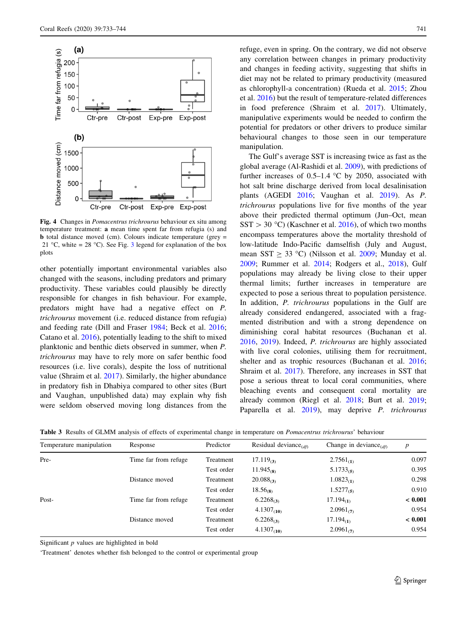<span id="page-8-0"></span>

Fig. 4 Changes in Pomacentrus trichrourus behaviour ex situ among temperature treatment: a mean time spent far from refugia (s) and b total distance moved (cm). Colours indicate temperature (grey = 21 °C, white = 28 °C). See Fig. [3](#page-7-0) legend for explanation of the box plots

other potentially important environmental variables also changed with the seasons, including predators and primary productivity. These variables could plausibly be directly responsible for changes in fish behaviour. For example, predators might have had a negative effect on P. trichrourus movement (i.e. reduced distance from refugia) and feeding rate (Dill and Fraser [1984](#page-10-0); Beck et al. [2016](#page-9-0); Catano et al. [2016\)](#page-9-0), potentially leading to the shift to mixed planktonic and benthic diets observed in summer, when P. trichrourus may have to rely more on safer benthic food resources (i.e. live corals), despite the loss of nutritional value (Shraim et al. [2017](#page-11-0)). Similarly, the higher abundance in predatory fish in Dhabiya compared to other sites (Burt and Vaughan, unpublished data) may explain why fish were seldom observed moving long distances from the refuge, even in spring. On the contrary, we did not observe any correlation between changes in primary productivity and changes in feeding activity, suggesting that shifts in diet may not be related to primary productivity (measured as chlorophyll-a concentration) (Rueda et al. [2015](#page-11-0); Zhou et al. [2016\)](#page-11-0) but the result of temperature-related differences in food preference (Shraim et al. [2017\)](#page-11-0). Ultimately, manipulative experiments would be needed to confirm the potential for predators or other drivers to produce similar behavioural changes to those seen in our temperature manipulation.

The Gulf's average SST is increasing twice as fast as the global average (Al-Rashidi et al. [2009\)](#page-9-0), with predictions of further increases of 0.5–1.4  $\degree$ C by 2050, associated with hot salt brine discharge derived from local desalinisation plants (AGEDI [2016;](#page-9-0) Vaughan et al. [2019](#page-11-0)). As P. trichrourus populations live for five months of the year above their predicted thermal optimum (Jun–Oct, mean  $SST > 30$  °C) (Kaschner et al. [2016\)](#page-10-0), of which two months encompass temperatures above the mortality threshold of low-latitude Indo-Pacific damselfish (July and August, mean SST  $\geq$  33 °C) (Nilsson et al. [2009](#page-11-0); Munday et al. [2009](#page-10-0); Rummer et al. [2014](#page-11-0); Rodgers et al., [2018](#page-11-0)), Gulf populations may already be living close to their upper thermal limits; further increases in temperature are expected to pose a serious threat to population persistence. In addition, *P. trichrourus* populations in the Gulf are already considered endangered, associated with a fragmented distribution and with a strong dependence on diminishing coral habitat resources (Buchanan et al. [2016](#page-9-0), [2019](#page-9-0)). Indeed, P. trichrourus are highly associated with live coral colonies, utilising them for recruitment, shelter and as trophic resources (Buchanan et al. [2016](#page-9-0); Shraim et al. [2017](#page-11-0)). Therefore, any increases in SST that pose a serious threat to local coral communities, where bleaching events and consequent coral mortality are already common (Riegl et al. [2018](#page-11-0); Burt et al. [2019](#page-9-0); Paparella et al. [2019\)](#page-11-0), may deprive *P. trichrourus* 

Table 3 Results of GLMM analysis of effects of experimental change in temperature on *Pomacentrus trichrourus*' behaviour

| Temperature manipulation | Response             | Predictor  | Residual deviance | Change in deviance $_{(df)}$ | $\boldsymbol{p}$ |
|--------------------------|----------------------|------------|-------------------|------------------------------|------------------|
| Pre-                     | Time far from refuge | Treatment  | 17.119 $\sigma$   | $2.7561_{(D)}$               | 0.097            |
|                          |                      | Test order | $11.945_{(8)}$    | $5.1733_{(5)}$               | 0.395            |
|                          | Distance moved       | Treatment  | $20.088_{(3)}$    | $1.0823_{(1)}$               | 0.298            |
|                          |                      | Test order | $18.56_{(8)}$     | $1.5277_{(5)}$               | 0.910            |
| Post-                    | Time far from refuge | Treatment  | $6.2268_{(3)}$    | $17.194_{(1)}$               | < 0.001          |
|                          |                      | Test order | $4.1307_{(10)}$   | $2.0961_{(7)}$               | 0.954            |
|                          | Distance moved       | Treatment  | $6.2268_{(3)}$    | $17.194_{(1)}$               | < 0.001          |
|                          |                      | Test order | $4.1307_{(10)}$   | $2.0961_{(7)}$               | 0.954            |

Significant  $p$  values are highlighted in bold

'Treatment' denotes whether fish belonged to the control or experimental group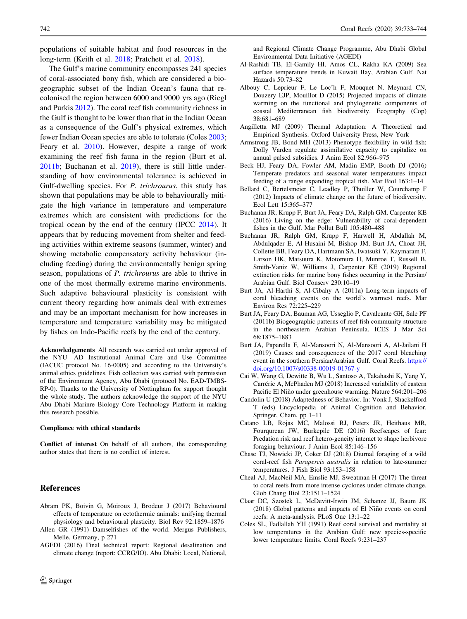<span id="page-9-0"></span>populations of suitable habitat and food resources in the long-term (Keith et al. [2018](#page-10-0); Pratchett et al. [2018](#page-11-0)).

The Gulf's marine community encompasses 241 species of coral-associated bony fish, which are considered a biogeographic subset of the Indian Ocean's fauna that recolonised the region between 6000 and 9000 yrs ago (Riegl and Purkis [2012](#page-11-0)). The coral reef fish community richness in the Gulf is thought to be lower than that in the Indian Ocean as a consequence of the Gulf's physical extremes, which fewer Indian Ocean species are able to tolerate (Coles [2003](#page-10-0); Feary et al. [2010](#page-10-0)). However, despite a range of work examining the reef fish fauna in the region (Burt et al. 2011b; Buchanan et al. 2019), there is still little understanding of how environmental tolerance is achieved in Gulf-dwelling species. For P. trichrourus, this study has shown that populations may be able to behaviourally mitigate the high variance in temperature and temperature extremes which are consistent with predictions for the tropical ocean by the end of the century (IPCC [2014](#page-10-0)). It appears that by reducing movement from shelter and feeding activities within extreme seasons (summer, winter) and showing metabolic compensatory activity behaviour (including feeding) during the environmentally benign spring season, populations of P. trichrourus are able to thrive in one of the most thermally extreme marine environments. Such adaptive behavioural plasticity is consistent with current theory regarding how animals deal with extremes and may be an important mechanism for how increases in temperature and temperature variability may be mitigated by fishes on Indo-Pacific reefs by the end of the century.

Acknowledgements All research was carried out under approval of the NYU—AD Institutional Animal Care and Use Committee (IACUC protocol No. 16-0005) and according to the University's animal ethics guidelines. Fish collection was carried with permission of the Environment Agency, Abu Dhabi (protocol No. EAD-TMBS-RP-0). Thanks to the University of Nottingham for support thought the whole study. The authors acknowledge the support of the NYU Abu Dhabi Marinre Biology Core Technology Platform in making this research possible.

### Compliance with ethical standards

Conflict of interest On behalf of all authors, the corresponding author states that there is no conflict of interest.

#### References

- Abram PK, Boivin G, Moiroux J, Brodeur J (2017) Behavioural effects of temperature on ectothermic animals: unifying thermal physiology and behavioural plasticity. Biol Rev 92:1859–1876
- Allen GR (1991) Damselfishes of the world. Mergus Publishers, Melle, Germany, p 271
- AGEDI (2016) Final technical report: Regional desalination and climate change (report: CCRG/IO). Abu Dhabi: Local, National,

and Regional Climate Change Programme, Abu Dhabi Global Environmental Data Initiative (AGEDI)

- Al-Rashidi TB, El-Gamily HI, Amos CL, Rakha KA (2009) Sea surface temperature trends in Kuwait Bay, Arabian Gulf. Nat Hazards 50:73–82
- Albouy C, Leprieur F, Le Loc'h F, Mouquet N, Meynard CN, Douzery EJP, Mouillot D (2015) Projected impacts of climate warming on the functional and phylogenetic components of coastal Mediterranean fish biodiversity. Ecography (Cop) 38:681–689
- Angilletta MJ (2009) Thermal Adaptation: A Theoretical and Empirical Synthesis. Oxford University Press, New York
- Armstrong JB, Bond MH (2013) Phenotype flexibility in wild fish: Dolly Varden regulate assimilative capacity to capitalize on annual pulsed subsidies. J Anim Ecol 82:966–975
- Beck HJ, Feary DA, Fowler AM, Madin EMP, Booth DJ (2016) Temperate predators and seasonal water temperatures impact feeding of a range expanding tropical fish. Mar Biol 163:1–14
- Bellard C, Bertelsmeier C, Leadley P, Thuiller W, Courchamp F (2012) Impacts of climate change on the future of biodiversity. Ecol Lett 15:365–377
- Buchanan JR, Krupp F, Burt JA, Feary DA, Ralph GM, Carpenter KE (2016) Living on the edge: Vulnerability of coral-dependent fishes in the Gulf. Mar Pollut Bull 105:480–488
- Buchanan JR, Ralph GM, Krupp F, Harwell H, Abdallah M, Abdulqader E, Al-Husaini M, Bishop JM, Burt JA, Choat JH, Collette BB, Feary DA, Hartmann SA, Iwatsuki Y, Kaymaram F, Larson HK, Matsuura K, Motomura H, Munroe T, Russell B, Smith-Vaniz W, Williams J, Carpenter KE (2019) Regional extinction risks for marine bony fishes occurring in the Persian/ Arabian Gulf. Biol Conserv 230:10–19
- Burt JA, Al-Harthi S, Al-Cibahy A (2011a) Long-term impacts of coral bleaching events on the world's warmest reefs. Mar Environ Res 72:225–229
- Burt JA, Feary DA, Bauman AG, Usseglio P, Cavalcante GH, Sale PF (2011b) Biogeographic patterns of reef fish community structure in the northeastern Arabian Peninsula. ICES J Mar Sci 68:1875–1883
- Burt JA, Paparella F, Al-Mansoori N, Al-Mansoori A, Al-Jailani H (2019) Causes and consequences of the 2017 coral bleaching event in the southern Persian/Arabian Gulf. Coral Reefs. [https://](https://doi.org/10.1007/s00338-00019-01767-y) [doi.org/10.1007/s00338-00019-01767-y](https://doi.org/10.1007/s00338-00019-01767-y)
- Cai W, Wang G, Dewitte B, Wu L, Santoso A, Takahashi K, Yang Y, Carréric A, McPhaden MJ (2018) Increased variability of eastern Pacific El Niño under greenhouse warming. Nature 564:201-206
- Candolin U (2018) Adaptedness of Behavior. In: Vonk J, Shackelford T (eds) Encyclopedia of Animal Cognition and Behavior. Springer, Cham, pp 1–11
- Catano LB, Rojas MC, Malossi RJ, Peters JR, Heithaus MR, Fourqurean JW, Burkepile DE (2016) Reefscapes of fear: Predation risk and reef hetero-geneity interact to shape herbivore foraging behaviour. J Anim Ecol 85:146–156
- Chase TJ, Nowicki JP, Coker DJ (2018) Diurnal foraging of a wild coral-reef fish Parapercis australis in relation to late-summer temperatures. J Fish Biol 93:153–158
- Cheal AJ, MacNeil MA, Emslie MJ, Sweatman H (2017) The threat to coral reefs from more intense cyclones under climate change. Glob Chang Biol 23:1511–1524
- Claar DC, Szostek L, McDevitt-Irwin JM, Schanze JJ, Baum JK (2018) Global patterns and impacts of El Niño events on coral reefs: A meta-analysis. PLoS One 13:1–22
- Coles SL, Fadlallah YH (1991) Reef coral survival and mortality at low temperatures in the Arabian Gulf: new species-specific lower temperature limits. Coral Reefs 9:231–237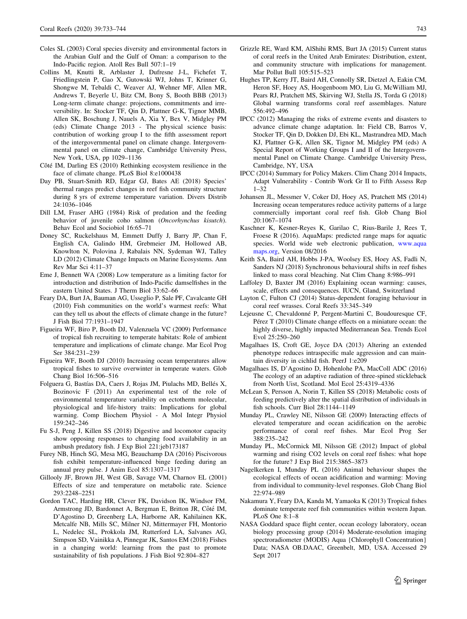- <span id="page-10-0"></span>Coles SL (2003) Coral species diversity and environmental factors in the Arabian Gulf and the Gulf of Oman: a comparison to the Indo-Pacific region. Atoll Res Bull 507:1–19
- Collins M, Knutti R, Arblaster J, Dufresne J-L, Fichefet T, Friedlingstein P, Gao X, Gutowski WJ, Johns T, Krinner G, Shongwe M, Tebaldi C, Weaver AJ, Wehner MF, Allen MR, Andrews T, Beyerle U, Bitz CM, Bony S, Booth BBB (2013) Long-term climate change: projections, commitments and irreversibility. In: Stocker TF, Qin D, Plattner G-K, Tignor MMB, Allen SK, Boschung J, Nauels A, Xia Y, Bex V, Midgley PM (eds) Climate Change 2013 - The physical science basis: contribution of working group I to the fifth assessment report of the intergovernmental panel on climate change. Intergovernmental panel on climate change, Cambridge University Press, New York, USA, pp 1029–1136
- Côté IM, Darling ES (2010) Rethinking ecosystem resilience in the face of climate change. PLoS Biol 8:e1000438
- Day PB, Stuart-Smith RD, Edgar GJ, Bates AE (2018) Species' thermal ranges predict changes in reef fish community structure during 8 yrs of extreme temperature variation. Divers Distrib 24:1036–1046
- Dill LM, Fraser AHG (1984) Risk of predation and the feeding behavior of juvenile coho salmon (Oncorhynchus kisutch). Behav Ecol and Sociobiol 16:65–71
- Doney SC, Ruckelshaus M, Emmett Duffy J, Barry JP, Chan F, English CA, Galindo HM, Grebmeier JM, Hollowed AB, Knowlton N, Polovina J, Rabalais NN, Sydeman WJ, Talley LD (2012) Climate Change Impacts on Marine Ecosystems. Ann Rev Mar Sci 4:11–37
- Eme J, Bennett WA (2008) Low temperature as a limiting factor for introduction and distribution of Indo-Pacific damselfishes in the eastern United States. J Therm Biol 33:62–66
- Feary DA, Burt JA, Bauman AG, Usseglio P, Sale PF, Cavalcante GH (2010) Fish communities on the world's warmest reefs: What can they tell us about the effects of climate change in the future? J Fish Biol 77:1931–1947
- Figueira WF, Biro P, Booth DJ, Valenzuela VC (2009) Performance of tropical fish recruiting to temperate habitats: Role of ambient temperature and implications of climate change. Mar Ecol Prog Ser 384:231–239
- Figueira WF, Booth DJ (2010) Increasing ocean temperatures allow tropical fishes to survive overwinter in temperate waters. Glob Chang Biol 16:506–516
- Folguera G, Bastías DA, Caers J, Rojas JM, Piulachs MD, Bellés X, Bozinovic F (2011) An experimental test of the role of environmental temperature variability on ectotherm molecular, physiological and life-history traits: Implications for global warming. Comp Biochem Physiol - A Mol Integr Physiol 159:242–246
- Fu S-J, Peng J, Killen SS (2018) Digestive and locomotor capacity show opposing responses to changing food availability in an ambush predatory fish. J Exp Biol 221:jeb173187
- Furey NB, Hinch SG, Mesa MG, Beauchamp DA (2016) Piscivorous fish exhibit temperature-influenced binge feeding during an annual prey pulse. J Anim Ecol 85:1307–1317
- Gillooly JF, Brown JH, West GB, Savage VM, Charnov EL (2001) Effects of size and temperature on metabolic rate. Science 293:2248–2251
- Gordon TAC, Harding HR, Clever FK, Davidson IK, Windsor FM, Armstrong JD, Bardonnet A, Bergman E, Britton JR, Côté IM, D'Agostino D, Greenberg LA, Harborne AR, Kahilainen KK, Metcalfe NB, Mills SC, Milner NJ, Mittermayer FH, Montorio L, Nedelec SL, Prokkola JM, Rutterford LA, Salvanes AG, Simpson SD, Vainikka A, Pinnegar JK, Santos EM (2018) Fishes in a changing world: learning from the past to promote sustainability of fish populations. J Fish Biol 92:804–827
- Grizzle RE, Ward KM, AlShihi RMS, Burt JA (2015) Current status of coral reefs in the United Arab Emirates: Distribution, extent, and community structure with implications for management. Mar Pollut Bull 105:515–523
- Hughes TP, Kerry JT, Baird AH, Connolly SR, Dietzel A, Eakin CM, Heron SF, Hoey AS, Hoogenboom MO, Liu G, McWilliam MJ, Pears RJ, Pratchett MS, Skirving WJ, Stella JS, Torda G (2018) Global warming transforms coral reef assemblages. Nature 556:492–496
- IPCC (2012) Managing the risks of extreme events and disasters to advance climate change adaptation. In: Field CB, Barros V, Stocker TF, Qin D, Dokken DJ, Ebi KL, Mastrandrea MD, Mach KJ, Plattner G-K, Allen SK, Tignor M, Midgley PM (eds) A Special Report of Working Groups I and II of the Intergovernmental Panel on Climate Change. Cambridge University Press, Cambridge, NY, USA
- IPCC (2014) Summary for Policy Makers. Clim Chang 2014 Impacts, Adapt Vulnerability - Contrib Work Gr II to Fifth Assess Rep 1–32
- Johansen JL, Messmer V, Coker DJ, Hoey AS, Pratchett MS (2014) Increasing ocean temperatures reduce activity patterns of a large commercially important coral reef fish. Glob Chang Biol 20:1067–1074
- Kaschner K, Kesner-Reyes K, Garilao C, Rius-Barile J, Rees T, Froese R (2016). AquaMaps: predicted range maps for aquatic species. World wide web electronic publication, [www.aqua](http://www.aquamaps.org) [maps.org](http://www.aquamaps.org), Version 08/2016
- Keith SA, Baird AH, Hobbs J-PA, Woolsey ES, Hoey AS, Fadli N, Sanders NJ (2018) Synchronous behavioural shifts in reef fishes linked to mass coral bleaching. Nat Clim Chang 8:986–991
- Laffoley D, Baxter JM (2016) Explaining ocean warming: causes, scale, effects and consequences. IUCN, Gland, Switzerland
- Layton C, Fulton CJ (2014) Status-dependent foraging behaviour in coral reef wrasses. Coral Reefs 33:345–349
- Lejeusne C, Chevaldonné P, Pergent-Martini C, Boudouresque CF, Pérez  $T(2010)$  Climate change effects on a miniature ocean: the highly diverse, highly impacted Mediterranean Sea. Trends Ecol Evol 25:250–260
- Magalhaes IS, Croft GE, Joyce DA (2013) Altering an extended phenotype reduces intraspecific male aggression and can maintain diversity in cichlid fish. PeerJ 1:e209
- Magalhaes IS, D'Agostino D, Hohenlohe PA, MacColl ADC (2016) The ecology of an adaptive radiation of three-spined stickleback from North Uist, Scotland. Mol Ecol 25:4319–4336
- McLean S, Persson A, Norin T, Killen SS (2018) Metabolic costs of feeding predictively alter the spatial distribution of individuals in fish schools. Curr Biol 28:1144–1149
- Munday PL, Crawley NE, Nilsson GE (2009) Interacting effects of elevated temperature and ocean acidification on the aerobic performance of coral reef fishes. Mar Ecol Prog Ser 388:235–242
- Munday PL, McCormick MI, Nilsson GE (2012) Impact of global warming and rising CO2 levels on coral reef fishes: what hope for the future? J Exp Biol 215:3865–3873
- Nagelkerken I, Munday PL (2016) Animal behaviour shapes the ecological effects of ocean acidification and warming: Moving from individual to community-level responses. Glob Chang Biol 22:974–989
- Nakamura Y, Feary DA, Kanda M, Yamaoka K (2013) Tropical fishes dominate temperate reef fish communities within western Japan. PLoS One 8:1–8
- NASA Goddard space flight center, ocean ecology laboratory, ocean biology processing group (2014) Moderate-resolution imaging spectroradiometer (MODIS) Aqua {Chlorophyll Concentration} Data; NASA OB.DAAC, Greenbelt, MD, USA. Accessed 29 Sept 2017